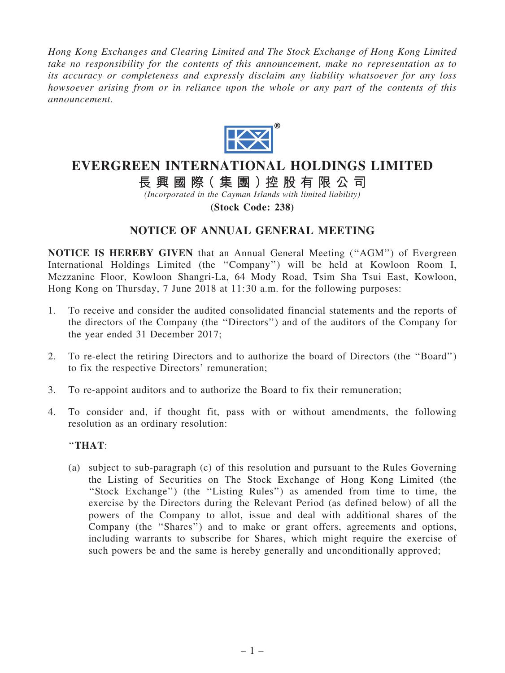*Hong Kong Exchanges and Clearing Limited and The Stock Exchange of Hong Kong Limited take no responsibility for the contents of this announcement, make no representation as to its accuracy or completeness and expressly disclaim any liability whatsoever for any loss howsoever arising from or in reliance upon the whole or any part of the contents of this announcement.*



## EVERGREEN INTERNATIONAL HOLDINGS LIMITED

長 興 國 際( 集 團 )控 股 有 限 公 司

*(Incorporated in the Cayman Islands with limited liability)*

(Stock Code: 238)

## NOTICE OF ANNUAL GENERAL MEETING

NOTICE IS HEREBY GIVEN that an Annual General Meeting (''AGM'') of Evergreen International Holdings Limited (the ''Company'') will be held at Kowloon Room I, Mezzanine Floor, Kowloon Shangri-La, 64 Mody Road, Tsim Sha Tsui East, Kowloon, Hong Kong on Thursday, 7 June 2018 at 11:30 a.m. for the following purposes:

- 1. To receive and consider the audited consolidated financial statements and the reports of the directors of the Company (the ''Directors'') and of the auditors of the Company for the year ended 31 December 2017;
- 2. To re-elect the retiring Directors and to authorize the board of Directors (the ''Board'') to fix the respective Directors' remuneration;
- 3. To re-appoint auditors and to authorize the Board to fix their remuneration;
- 4. To consider and, if thought fit, pass with or without amendments, the following resolution as an ordinary resolution:

## ''THAT:

(a) subject to sub-paragraph (c) of this resolution and pursuant to the Rules Governing the Listing of Securities on The Stock Exchange of Hong Kong Limited (the ''Stock Exchange'') (the ''Listing Rules'') as amended from time to time, the exercise by the Directors during the Relevant Period (as defined below) of all the powers of the Company to allot, issue and deal with additional shares of the Company (the ''Shares'') and to make or grant offers, agreements and options, including warrants to subscribe for Shares, which might require the exercise of such powers be and the same is hereby generally and unconditionally approved;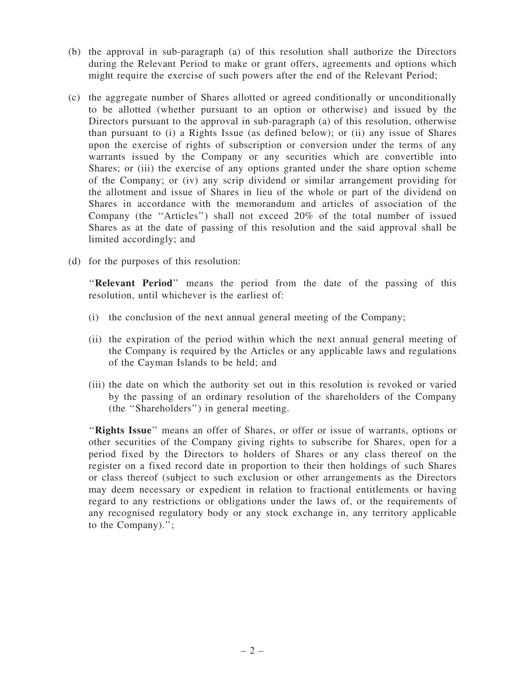- (b) the approval in sub-paragraph (a) of this resolution shall authorize the Directors during the Relevant Period to make or grant offers, agreements and options which might require the exercise of such powers after the end of the Relevant Period;
- (c) the aggregate number of Shares allotted or agreed conditionally or unconditionally to be allotted (whether pursuant to an option or otherwise) and issued by the Directors pursuant to the approval in sub-paragraph (a) of this resolution, otherwise than pursuant to (i) a Rights Issue (as defined below); or (ii) any issue of Shares upon the exercise of rights of subscription or conversion under the terms of any warrants issued by the Company or any securities which are convertible into Shares; or (iii) the exercise of any options granted under the share option scheme of the Company; or (iv) any scrip dividend or similar arrangement providing for the allotment and issue of Shares in lieu of the whole or part of the dividend on Shares in accordance with the memorandum and articles of association of the Company (the ''Articles'') shall not exceed 20% of the total number of issued Shares as at the date of passing of this resolution and the said approval shall be limited accordingly; and
- (d) for the purposes of this resolution:

"Relevant Period" means the period from the date of the passing of this resolution, until whichever is the earliest of:

- (i) the conclusion of the next annual general meeting of the Company;
- (ii) the expiration of the period within which the next annual general meeting of the Company is required by the Articles or any applicable laws and regulations of the Cayman Islands to be held; and
- (iii) the date on which the authority set out in this resolution is revoked or varied by the passing of an ordinary resolution of the shareholders of the Company (the ''Shareholders'') in general meeting.

"Rights Issue" means an offer of Shares, or offer or issue of warrants, options or other securities of the Company giving rights to subscribe for Shares, open for a period fixed by the Directors to holders of Shares or any class thereof on the register on a fixed record date in proportion to their then holdings of such Shares or class thereof (subject to such exclusion or other arrangements as the Directors may deem necessary or expedient in relation to fractional entitlements or having regard to any restrictions or obligations under the laws of, or the requirements of any recognised regulatory body or any stock exchange in, any territory applicable to the Company).'';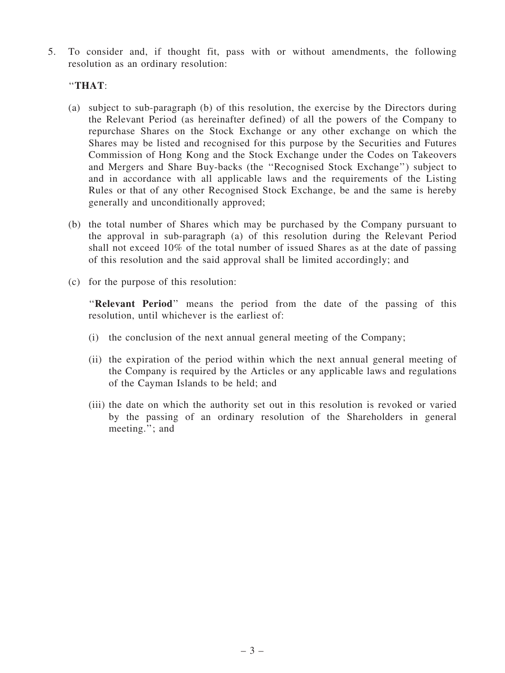5. To consider and, if thought fit, pass with or without amendments, the following resolution as an ordinary resolution:

## ''THAT:

- (a) subject to sub-paragraph (b) of this resolution, the exercise by the Directors during the Relevant Period (as hereinafter defined) of all the powers of the Company to repurchase Shares on the Stock Exchange or any other exchange on which the Shares may be listed and recognised for this purpose by the Securities and Futures Commission of Hong Kong and the Stock Exchange under the Codes on Takeovers and Mergers and Share Buy-backs (the ''Recognised Stock Exchange'') subject to and in accordance with all applicable laws and the requirements of the Listing Rules or that of any other Recognised Stock Exchange, be and the same is hereby generally and unconditionally approved;
- (b) the total number of Shares which may be purchased by the Company pursuant to the approval in sub-paragraph (a) of this resolution during the Relevant Period shall not exceed 10% of the total number of issued Shares as at the date of passing of this resolution and the said approval shall be limited accordingly; and
- (c) for the purpose of this resolution:

"Relevant Period" means the period from the date of the passing of this resolution, until whichever is the earliest of:

- (i) the conclusion of the next annual general meeting of the Company;
- (ii) the expiration of the period within which the next annual general meeting of the Company is required by the Articles or any applicable laws and regulations of the Cayman Islands to be held; and
- (iii) the date on which the authority set out in this resolution is revoked or varied by the passing of an ordinary resolution of the Shareholders in general meeting.''; and